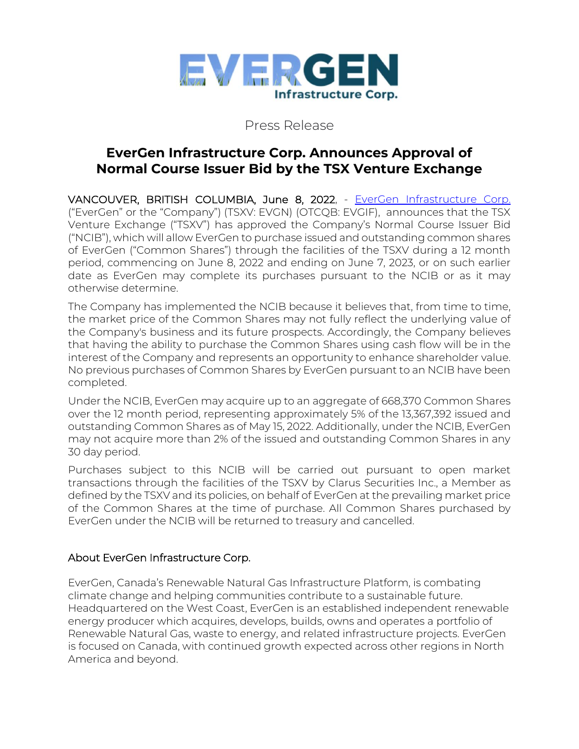

## Press Release

# **EverGen Infrastructure Corp. Announces Approval of Normal Course Issuer Bid by the TSX Venture Exchange**

VANCOUVER, BRITISH COLUMBIA, June 8, 2022, - [EverGen Infrastructure Corp.](https://www.evergeninfra.com/) ("EverGen" or the "Company") (TSXV: EVGN) (OTCQB: EVGIF), announces that the TSX Venture Exchange ("TSXV") has approved the Company's Normal Course Issuer Bid ("NCIB"), which will allow EverGen to purchase issued and outstanding common shares of EverGen ("Common Shares") through the facilities of the TSXV during a 12 month period, commencing on June 8, 2022 and ending on June 7, 2023, or on such earlier date as EverGen may complete its purchases pursuant to the NCIB or as it may otherwise determine.

The Company has implemented the NCIB because it believes that, from time to time, the market price of the Common Shares may not fully reflect the underlying value of the Company's business and its future prospects. Accordingly, the Company believes that having the ability to purchase the Common Shares using cash flow will be in the interest of the Company and represents an opportunity to enhance shareholder value. No previous purchases of Common Shares by EverGen pursuant to an NCIB have been completed.

Under the NCIB, EverGen may acquire up to an aggregate of 668,370 Common Shares over the 12 month period, representing approximately 5% of the 13,367,392 issued and outstanding Common Shares as of May 15, 2022. Additionally, under the NCIB, EverGen may not acquire more than 2% of the issued and outstanding Common Shares in any 30 day period.

Purchases subject to this NCIB will be carried out pursuant to open market transactions through the facilities of the TSXV by Clarus Securities Inc., a Member as defined by the TSXV and its policies, on behalf of EverGen at the prevailing market price of the Common Shares at the time of purchase. All Common Shares purchased by EverGen under the NCIB will be returned to treasury and cancelled.

### About EverGen Infrastructure Corp.

EverGen, Canada's Renewable Natural Gas Infrastructure Platform, is combating climate change and helping communities contribute to a sustainable future. Headquartered on the West Coast, EverGen is an established independent renewable energy producer which acquires, develops, builds, owns and operates a portfolio of Renewable Natural Gas, waste to energy, and related infrastructure projects. EverGen is focused on Canada, with continued growth expected across other regions in North America and beyond.